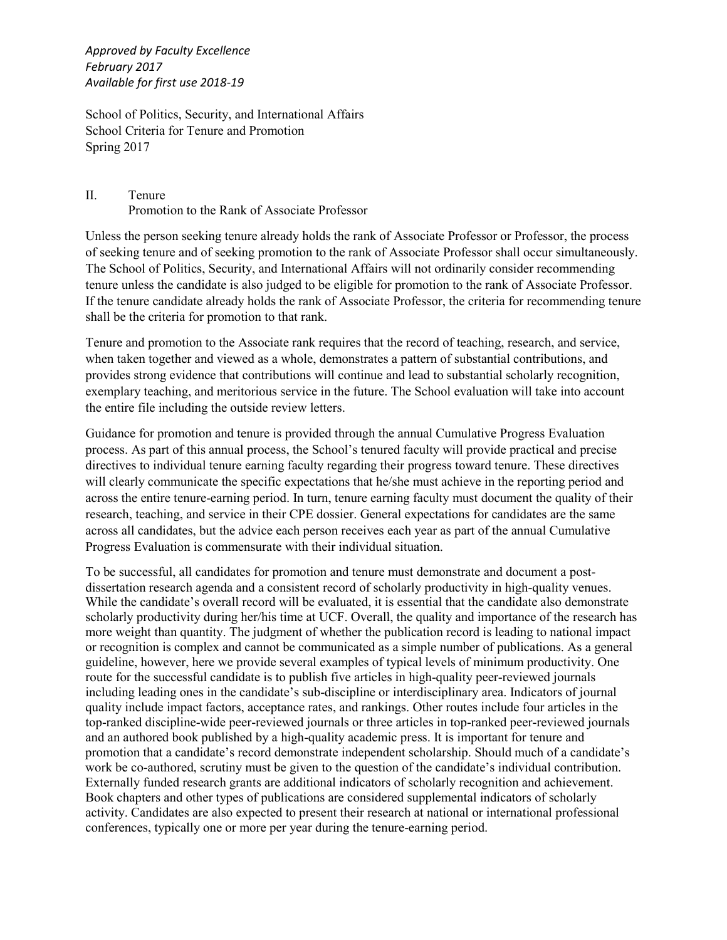*Approved by Faculty Excellence February 2017 Available for first use 2018-19*

School of Politics, Security, and International Affairs School Criteria for Tenure and Promotion Spring 2017

## II. Tenure Promotion to the Rank of Associate Professor

Unless the person seeking tenure already holds the rank of Associate Professor or Professor, the process of seeking tenure and of seeking promotion to the rank of Associate Professor shall occur simultaneously. The School of Politics, Security, and International Affairs will not ordinarily consider recommending tenure unless the candidate is also judged to be eligible for promotion to the rank of Associate Professor. If the tenure candidate already holds the rank of Associate Professor, the criteria for recommending tenure shall be the criteria for promotion to that rank.

Tenure and promotion to the Associate rank requires that the record of teaching, research, and service, when taken together and viewed as a whole, demonstrates a pattern of substantial contributions, and provides strong evidence that contributions will continue and lead to substantial scholarly recognition, exemplary teaching, and meritorious service in the future. The School evaluation will take into account the entire file including the outside review letters.

Guidance for promotion and tenure is provided through the annual Cumulative Progress Evaluation process. As part of this annual process, the School's tenured faculty will provide practical and precise directives to individual tenure earning faculty regarding their progress toward tenure. These directives will clearly communicate the specific expectations that he/she must achieve in the reporting period and across the entire tenure-earning period. In turn, tenure earning faculty must document the quality of their research, teaching, and service in their CPE dossier. General expectations for candidates are the same across all candidates, but the advice each person receives each year as part of the annual Cumulative Progress Evaluation is commensurate with their individual situation.

To be successful, all candidates for promotion and tenure must demonstrate and document a postdissertation research agenda and a consistent record of scholarly productivity in high-quality venues. While the candidate's overall record will be evaluated, it is essential that the candidate also demonstrate scholarly productivity during her/his time at UCF. Overall, the quality and importance of the research has more weight than quantity. The judgment of whether the publication record is leading to national impact or recognition is complex and cannot be communicated as a simple number of publications. As a general guideline, however, here we provide several examples of typical levels of minimum productivity. One route for the successful candidate is to publish five articles in high-quality peer-reviewed journals including leading ones in the candidate's sub-discipline or interdisciplinary area. Indicators of journal quality include impact factors, acceptance rates, and rankings. Other routes include four articles in the top-ranked discipline-wide peer-reviewed journals or three articles in top-ranked peer-reviewed journals and an authored book published by a high-quality academic press. It is important for tenure and promotion that a candidate's record demonstrate independent scholarship. Should much of a candidate's work be co-authored, scrutiny must be given to the question of the candidate's individual contribution. Externally funded research grants are additional indicators of scholarly recognition and achievement. Book chapters and other types of publications are considered supplemental indicators of scholarly activity. Candidates are also expected to present their research at national or international professional conferences, typically one or more per year during the tenure-earning period.